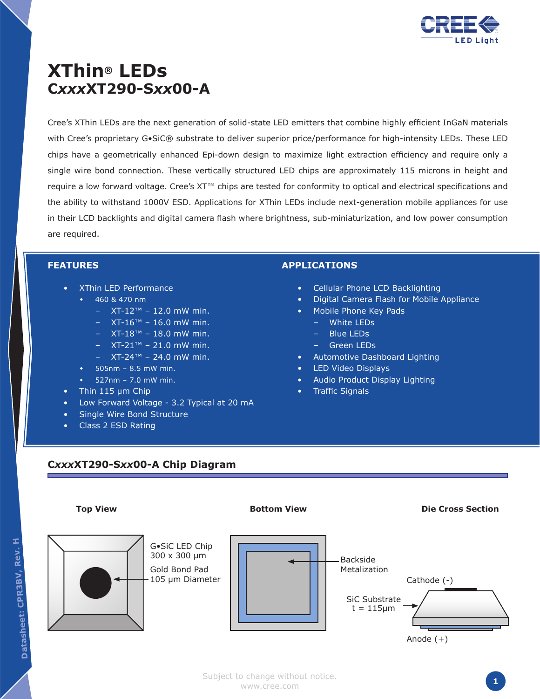

# **XThin® LEDs C***xxx***XT290-S***xx***00-A**

Cree's XThin LEDs are the next generation of solid-state LED emitters that combine highly efficient InGaN materials with Cree's proprietary G•SiC® substrate to deliver superior price/performance for high-intensity LEDs. These LED chips have a geometrically enhanced Epi-down design to maximize light extraction efficiency and require only a single wire bond connection. These vertically structured LED chips are approximately 115 microns in height and require a low forward voltage. Cree's XT™ chips are tested for conformity to optical and electrical specifications and the ability to withstand 1000V ESD. Applications for XThin LEDs include next-generation mobile appliances for use in their LCD backlights and digital camera flash where brightness, sub-miniaturization, and low power consumption are required.

### **FEATURES**

- XThin LED Performance •
	- 460 & 470 nm
		- XT-12™ 12.0 mW min. –
		- XT-16™ 16.0 mW min. –
		- XT-18™ 18.0 mW min. –
		- XT-21™ 21.0 mW min. –
		- XT-24™ 24.0 mW min.
	- $505$ nm  $8.5$  mW min. ۰
	- $\bullet$  527nm 7.0 mW min.
- Thin 115 µm Chip •
- Low Forward Voltage 3.2 Typical at 20 mA •
- Single Wire Bond Structure •
- Class 2 ESD Rating •

### **APPLICATIONS**

- Cellular Phone LCD Backlighting •
- Digital Camera Flash for Mobile Appliance •
- Mobile Phone Key Pads
	- White LEDs –
	- Blue LEDs –
	- Green LEDs
- Automotive Dashboard Lighting
- LED Video Displays
- Audio Product Display Lighting •
- Traffic Signals

# **C***xxx***XT290-S***xx***00-A Chip Diagram**

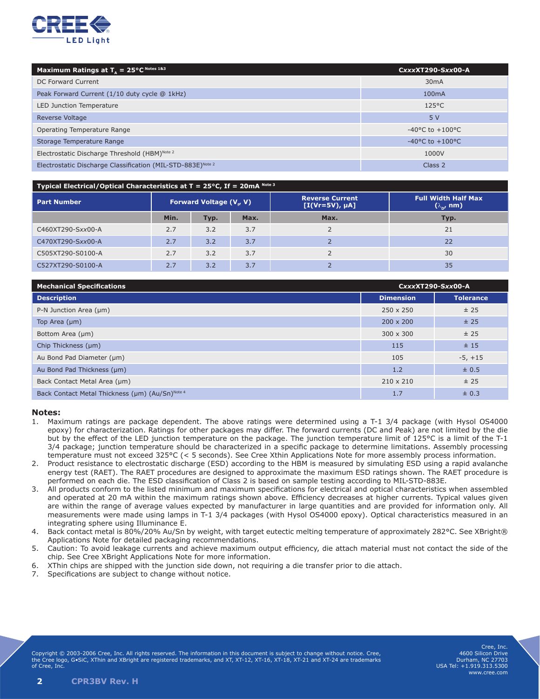

| Maximum Ratings at $T_a = 25^{\circ}C^{Notes 183}$                      | $CxxXT290-Sxx00-A$                  |
|-------------------------------------------------------------------------|-------------------------------------|
| DC Forward Current                                                      | 30 <sub>m</sub> A                   |
| Peak Forward Current (1/10 duty cycle @ 1kHz)                           | 100 <sub>m</sub> A                  |
| LED Junction Temperature                                                | $125^{\circ}$ C                     |
| Reverse Voltage                                                         | 5 V                                 |
| Operating Temperature Range                                             | $-40^{\circ}$ C to $+100^{\circ}$ C |
| Storage Temperature Range                                               | $-40^{\circ}$ C to $+100^{\circ}$ C |
| Electrostatic Discharge Threshold (HBM) <sup>Note 2</sup>               | 1000V                               |
| Electrostatic Discharge Classification (MIL-STD-883E) <sup>Note 2</sup> | Class 2                             |

#### **Typical Electrical/Optical Characteristics at T = 25°C, If = 20mA Note 3**

| Part Number       | Forward Voltage (V., V) |      | <b>Reverse Current</b><br>$[I(Vr=5V), \mu A]$ |      |      | <b>Full Width Half Max</b><br>$(\lambda_{\rm p}, \text{ nm})$ |  |
|-------------------|-------------------------|------|-----------------------------------------------|------|------|---------------------------------------------------------------|--|
|                   | Min.                    | Typ. | Max.                                          | Max. | Typ. |                                                               |  |
| C460XT290-Sxx00-A | 2.7                     | 3.2  | 3.7                                           |      | 21   |                                                               |  |
| C470XT290-Sxx00-A | 2.7                     | 3.2  | 3.7                                           |      | 22   |                                                               |  |
| C505XT290-S0100-A | 2.7                     | 3.2  | 3.7                                           |      | 30   |                                                               |  |
| C527XT290-S0100-A | 2.7                     | 3.2  | 3.7                                           |      | 35   |                                                               |  |

| <b>Mechanical Specifications</b>                            | CxxxXT290-Sxx00-A |                  |  |
|-------------------------------------------------------------|-------------------|------------------|--|
| <b>Description</b>                                          | <b>Dimension</b>  | <b>Tolerance</b> |  |
| $P-N$ Junction Area ( $µm$ )                                | 250 x 250         | ± 25             |  |
| Top Area $(\mu m)$                                          | $200 \times 200$  | ± 25             |  |
| Bottom Area (µm)                                            | $300 \times 300$  | ± 25             |  |
| Chip Thickness (µm)                                         | 115               | ±15              |  |
| Au Bond Pad Diameter (µm)                                   | 105               | $-5, +15$        |  |
| Au Bond Pad Thickness (µm)                                  | 1.2               | $\pm 0.5$        |  |
| Back Contact Metal Area (µm)                                | $210 \times 210$  | ± 25             |  |
| Back Contact Metal Thickness (µm) (Au/Sn) <sup>Note 4</sup> | 1.7               | $\pm 0.3$        |  |

#### **Notes:**

- Maximum ratings are package dependent. The above ratings were determined using a T-1 3/4 package (with Hysol OS4000 epoxy) for characterization. Ratings for other packages may differ. The forward currents (DC and Peak) are not limited by the die but by the effect of the LED junction temperature on the package. The junction temperature limit of 125°C is a limit of the T-1 3/4 package; junction temperature should be characterized in a specific package to determine limitations. Assembly processing temperature must not exceed 325°C (< 5 seconds). See Cree Xthin Applications Note for more assembly process information. 1.
- Product resistance to electrostatic discharge (ESD) according to the HBM is measured by simulating ESD using a rapid avalanche energy test (RAET). The RAET procedures are designed to approximate the maximum ESD ratings shown. The RAET procedure is performed on each die. The ESD classification of Class 2 is based on sample testing according to MIL-STD-883E. 2.
- All products conform to the listed minimum and maximum specifications for electrical and optical characteristics when assembled and operated at 20 mA within the maximum ratings shown above. Efficiency decreases at higher currents. Typical values given are within the range of average values expected by manufacturer in large quantities and are provided for information only. All measurements were made using lamps in T-1 3/4 packages (with Hysol OS4000 epoxy). Optical characteristics measured in an integrating sphere using Illuminance E. 3.
- Back contact metal is 80%/20% Au/Sn by weight, with target eutectic melting temperature of approximately 282°C. See XBright® Applications Note for detailed packaging recommendations. 4.
- Caution: To avoid leakage currents and achieve maximum output efficiency, die attach material must not contact the side of the chip. See Cree XBright Applications Note for more information. 5.
- XThin chips are shipped with the junction side down, not requiring a die transfer prior to die attach. 6.
- Specifications are subject to change without notice. 7.

Copyright © 2003-2006 Cree, Inc. All rights reserved. The information in this document is subject to change without notice. Cree,<br>the Cree logo, G•SiC, XThin and XBright are registered trademarks, and XT, XT-12, XT-16, XT-

Cree, Inc. 4600 Silicon Drive Durham, NC 27703 USA Tel: +1.919.313.5300 www.cree.com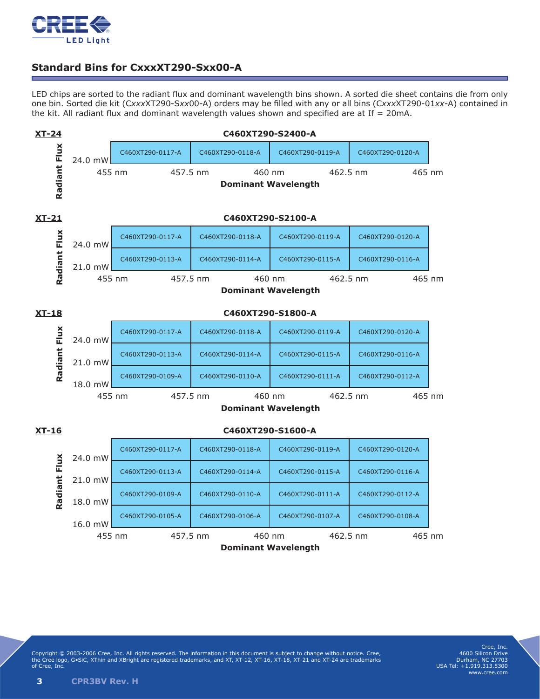

### **Standard Bins for CxxxXT290-Sxx00-A**

LED chips are sorted to the radiant flux and dominant wavelength bins shown. A sorted die sheet contains die from only one bin. Sorted die kit (C*xxx*XT290-S*xx*00-A) orders may be filled with any or all bins (C*xxx*XT290-01*xx*-A) contained in the kit. All radiant flux and dominant wavelength values shown and specified are at If  $= 20$ mA.



Copyright © 2003-2006 Cree, Inc. All rights reserved. The information in this document is subject to change without notice. Cree,<br>the Cree logo, G•SiC, XThin and XBright are registered trademarks, and XT, XT-12, XT-16, XT-

Cree, Inc. 4600 Silicon Drive Durham, NC 27703 USA Tel: +1.919.313.5300 www.cree.com

3 **CPR3BV Rev. H**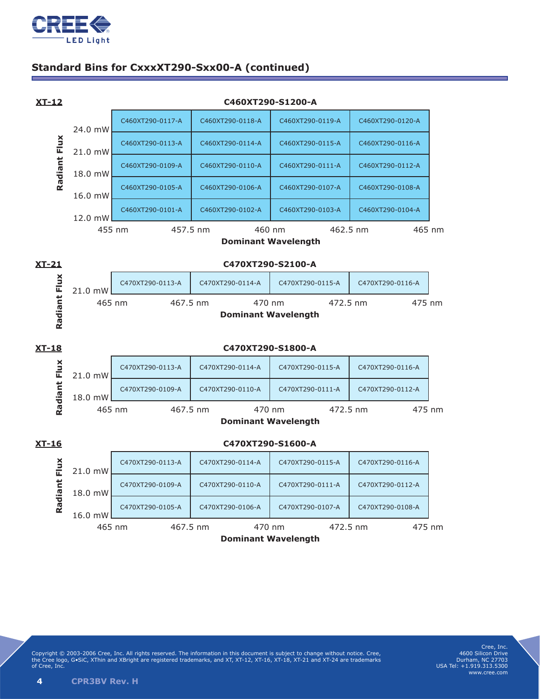

### **Standard Bins for CxxxXT290-Sxx00-A (continued)**



Copyright © 2003-2006 Cree, Inc. All rights reserved. The information in this document is subject to change without notice. Cree,<br>the Cree logo, G•SiC, XThin and XBright are registered trademarks, and XT, XT-12, XT-16, XT-

Cree, 4600 Silicon Drive Durham, NC 27703 USA Tel: +1.919.313.5300 www.cree.com

 $\overline{\mathbf{4}}$ **CPR3BV Rev. H**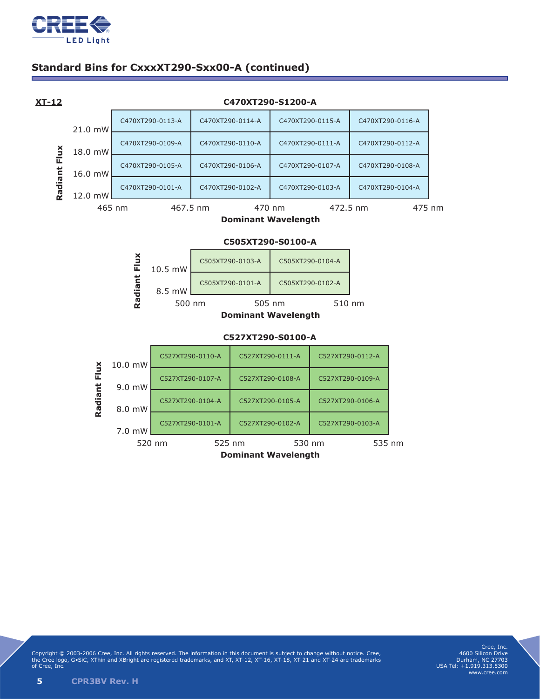

### **Standard Bins for CxxxXT290-Sxx00-A (continued)**



Copyright © 2003-2006 Cree, Inc. All rights reserved. The information in this document is subject to change without notice. Cree,<br>the Cree logo, G•SiC, XThin and XBright are registered trademarks, and XT, XT-12, XT-16, XT-

Cree, Inc. 4600 Silicon Drive Durham, NC 27703 USA Tel: +1.919.313.5300 www.cree.com